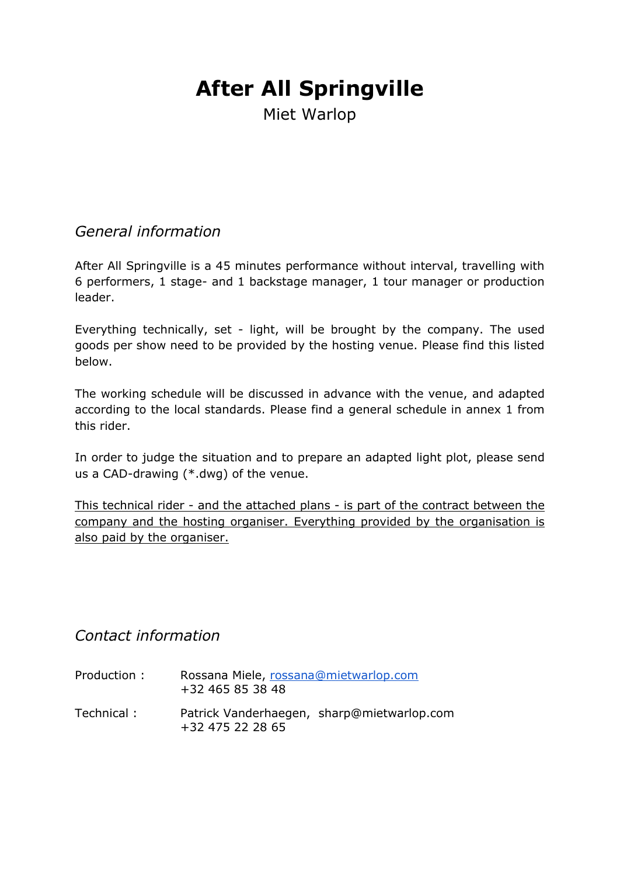# **After All Springville**

Miet Warlop

# *General information*

After All Springville is a 45 minutes performance without interval, travelling with 6 performers, 1 stage- and 1 backstage manager, 1 tour manager or production leader.

Everything technically, set - light, will be brought by the company. The used goods per show need to be provided by the hosting venue. Please find this listed below.

The working schedule will be discussed in advance with the venue, and adapted according to the local standards. Please find a general schedule in annex 1 from this rider.

In order to judge the situation and to prepare an adapted light plot, please send us a CAD-drawing (\*.dwg) of the venue.

This technical rider - and the attached plans - is part of the contract between the company and the hosting organiser. Everything provided by the organisation is also paid by the organiser.

# *Contact information*

- Production : Rossana Miele, rossana@mietwarlop.com +32 465 85 38 48
- Technical : Patrick Vanderhaegen, sharp@mietwarlop.com +32 475 22 28 65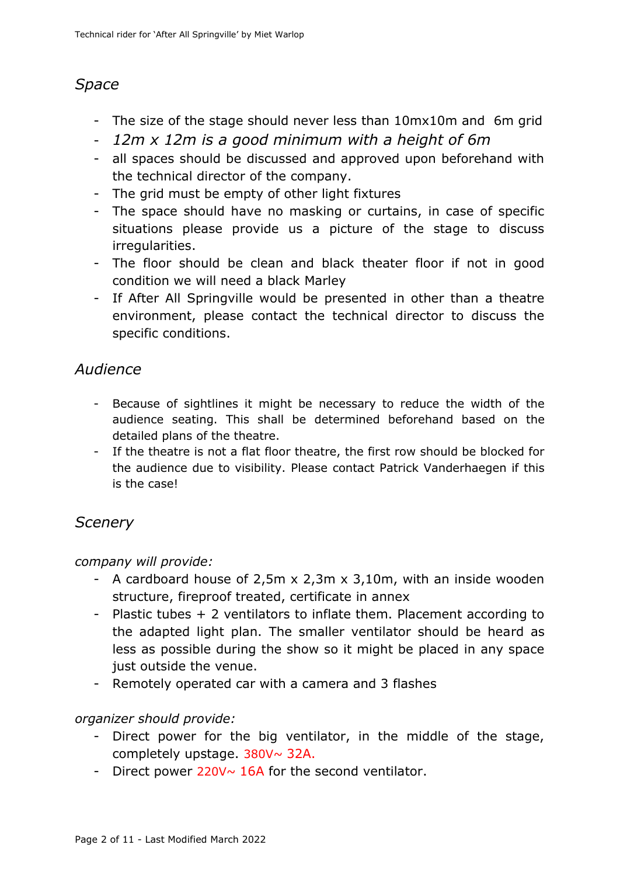# *Space*

- The size of the stage should never less than 10mx10m and 6m grid
- *12m x 12m is a good minimum with a height of 6m*
- all spaces should be discussed and approved upon beforehand with the technical director of the company.
- The grid must be empty of other light fixtures
- The space should have no masking or curtains, in case of specific situations please provide us a picture of the stage to discuss irregularities.
- The floor should be clean and black theater floor if not in good condition we will need a black Marley
- If After All Springville would be presented in other than a theatre environment, please contact the technical director to discuss the specific conditions.

# *Audience*

- Because of sightlines it might be necessary to reduce the width of the audience seating. This shall be determined beforehand based on the detailed plans of the theatre.
- If the theatre is not a flat floor theatre, the first row should be blocked for the audience due to visibility. Please contact Patrick Vanderhaegen if this is the case!

# *Scenery*

# *company will provide:*

- A cardboard house of 2,5m x 2,3m x 3,10m, with an inside wooden structure, fireproof treated, certificate in annex
- Plastic tubes + 2 ventilators to inflate them. Placement according to the adapted light plan. The smaller ventilator should be heard as less as possible during the show so it might be placed in any space just outside the venue.
- Remotely operated car with a camera and 3 flashes

# *organizer should provide:*

- Direct power for the big ventilator, in the middle of the stage, completely upstage. 380V~ 32A.
- Direct power  $220V \sim 16A$  for the second ventilator.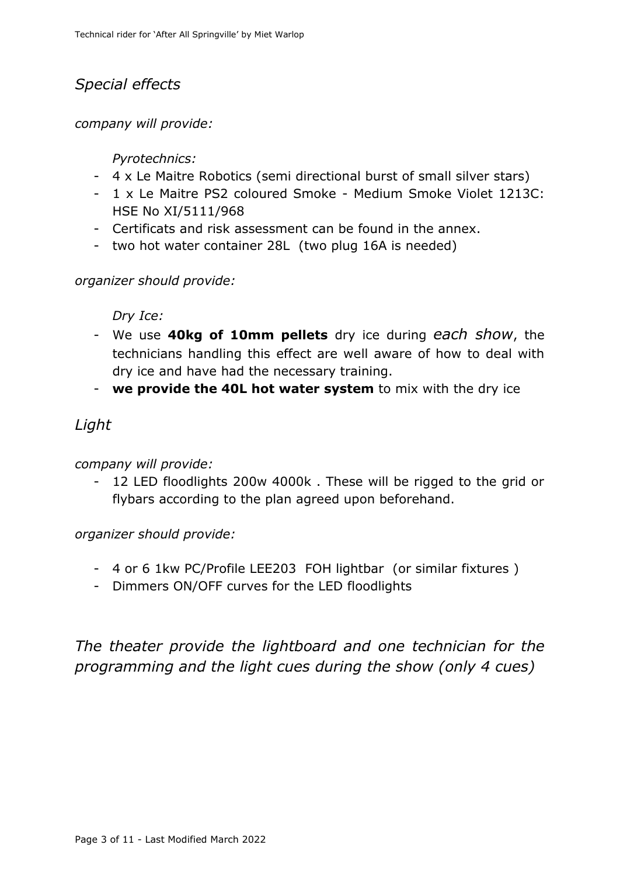# *Special effects*

*company will provide:*

# *Pyrotechnics:*

- 4 x Le Maitre Robotics (semi directional burst of small silver stars)
- 1 x Le Maitre PS2 coloured Smoke Medium Smoke Violet 1213C: HSE No XI/5111/968
- Certificats and risk assessment can be found in the annex.
- two hot water container 28L (two plug 16A is needed)

# *organizer should provide:*

# *Dry Ice:*

- We use **40kg of 10mm pellets** dry ice during *each show*, the technicians handling this effect are well aware of how to deal with dry ice and have had the necessary training.
- **we provide the 40L hot water system** to mix with the dry ice

# *Light*

# *company will provide:*

12 LED floodlights 200w 4000k. These will be rigged to the grid or flybars according to the plan agreed upon beforehand.

# *organizer should provide:*

- 4 or 6 1kw PC/Profile LEE203 FOH lightbar (or similar fixtures )
- Dimmers ON/OFF curves for the LED floodlights

# *The theater provide the lightboard and one technician for the programming and the light cues during the show (only 4 cues)*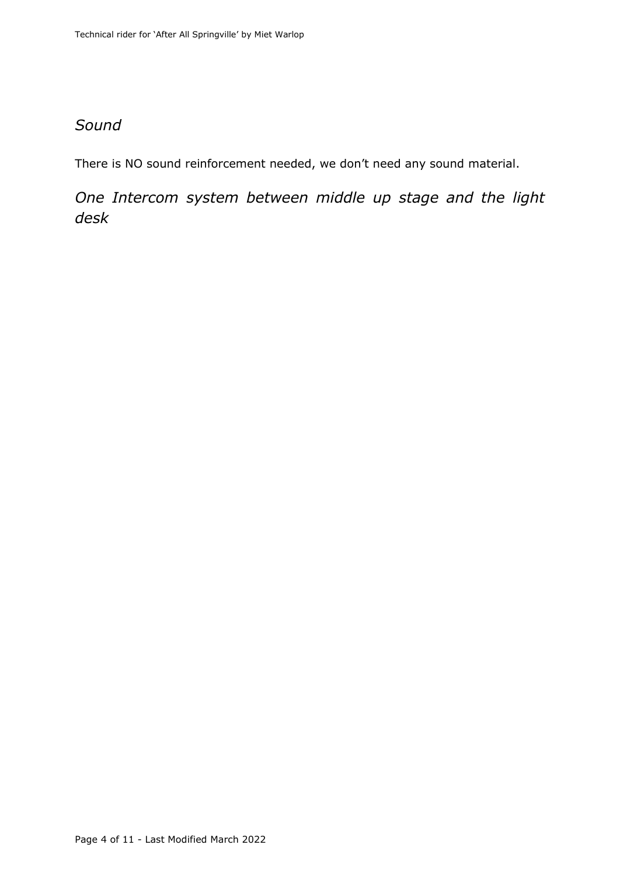# *Sound*

There is NO sound reinforcement needed, we don't need any sound material.

*One Intercom system between middle up stage and the light desk*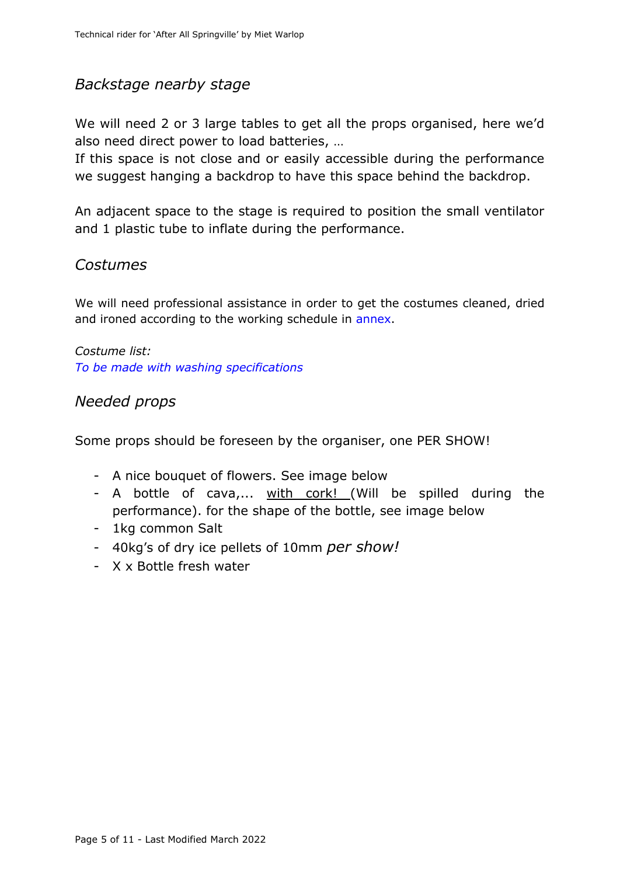# *Backstage nearby stage*

We will need 2 or 3 large tables to get all the props organised, here we'd also need direct power to load batteries, …

If this space is not close and or easily accessible during the performance we suggest hanging a backdrop to have this space behind the backdrop.

An adjacent space to the stage is required to position the small ventilator and 1 plastic tube to inflate during the performance.

# *Costumes*

We will need professional assistance in order to get the costumes cleaned, dried and ironed according to the working schedule in annex.

*Costume list: To be made with washing specifications*

# *Needed props*

Some props should be foreseen by the organiser, one PER SHOW!

- A nice bouquet of flowers. See image below
- A bottle of cava,... with cork! (Will be spilled during the performance). for the shape of the bottle, see image below
- 1kg common Salt
- 40kg's of dry ice pellets of 10mm *per show!*
- X x Bottle fresh water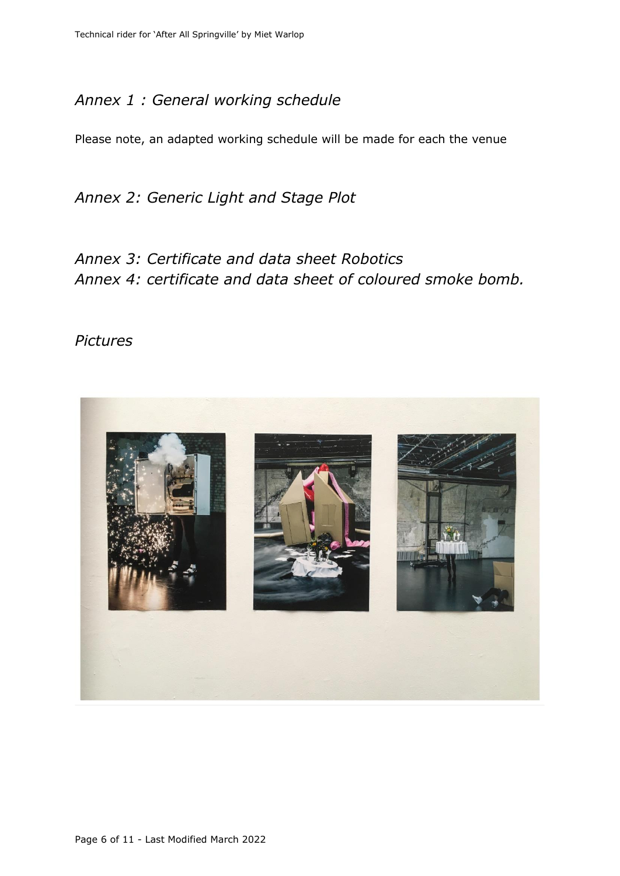# *Annex 1 : General working schedule*

Please note, an adapted working schedule will be made for each the venue

*Annex 2: Generic Light and Stage Plot*

*Annex 3: Certificate and data sheet Robotics Annex 4: certificate and data sheet of coloured smoke bomb.*

### *Pictures*

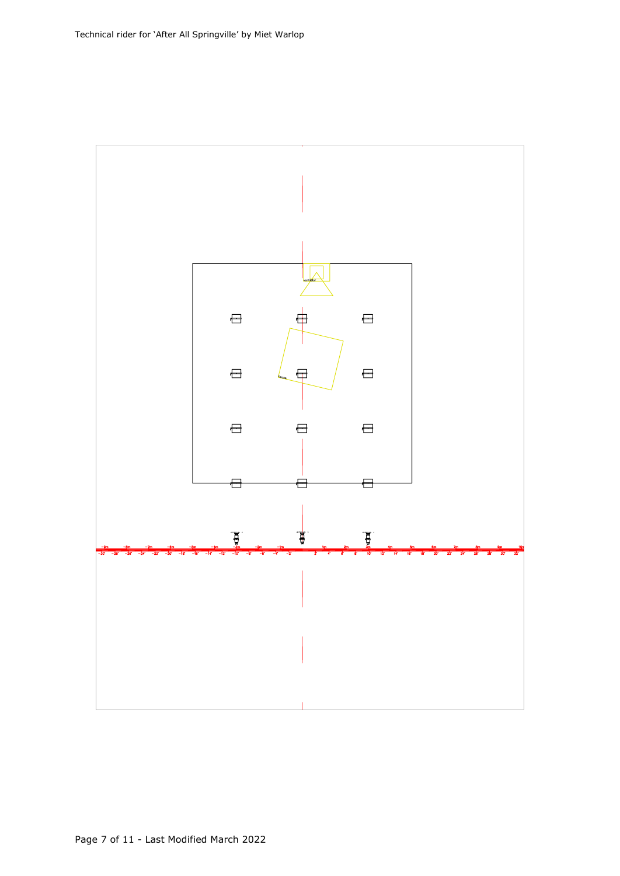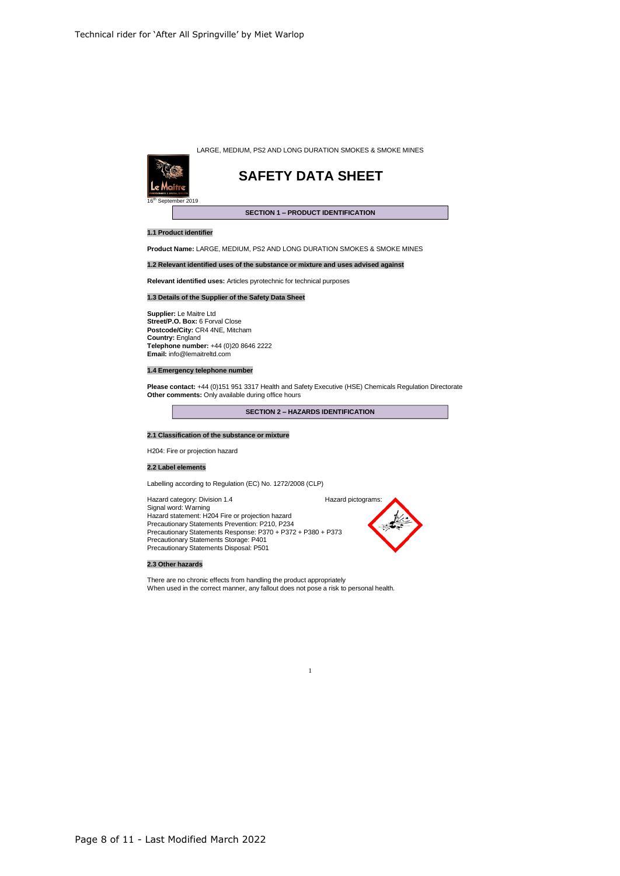



### **SAFETY DATA SHEET**

### **SECTION 1 – PRODUCT IDENTIFICATION**

### **1.1 Product identifier**

**Product Name:** LARGE, MEDIUM, PS2 AND LONG DURATION SMOKES & SMOKE MINES

**1.2 Relevant identified uses of the substance or mixture and uses advised against**

**Relevant identified uses:** Articles pyrotechnic for technical purposes

### **1.3 Details of the Supplier of the Safety Data Sheet**

**Supplier:** Le Maitre Ltd **Street/P.O. Box:** 6 Forval Close **Postcode/City:** CR4 4NE, Mitcham **Country:** England **Telephone number:** +44 (0)20 8646 2222 **Email:** info@lemaitreltd.com

### **1.4 Emergency telephone number**

**Please contact:** +44 (0)151 951 3317 Health and Safety Executive (HSE) Chemicals Regulation Directorate **Other comments:** Only available during office hours

**SECTION 2 – HAZARDS IDENTIFICATION**

1

### **2.1 Classification of the substance or mixture**

H204: Fire or projection hazard

### **2.2 Label elements**

Labelling according to Regulation (EC) No. 1272/2008 (CLP)

Hazard category: Division 1.4 **Hazard pictograms:** Hazard pictograms: Signal word: Warning Hazard statement: H204 Fire or projection hazard Precautionary Statements Prevention: P210, P234 Precautionary Statements Response: P370 <sup>+</sup> P372 <sup>+</sup> P380 <sup>+</sup> P373 Precautionary Statements Storage: P401 Precautionary Statements Disposal: P501



### **2.3 Other hazards**

There are no chronic effects from handling the product appropriately When used in the correct manner, any fallout does not pose <sup>a</sup> risk to personal health.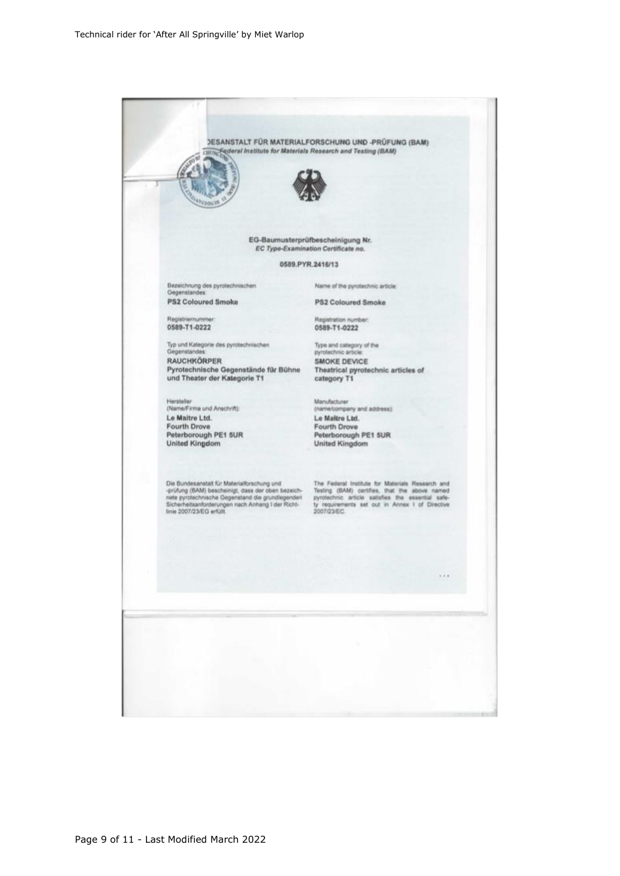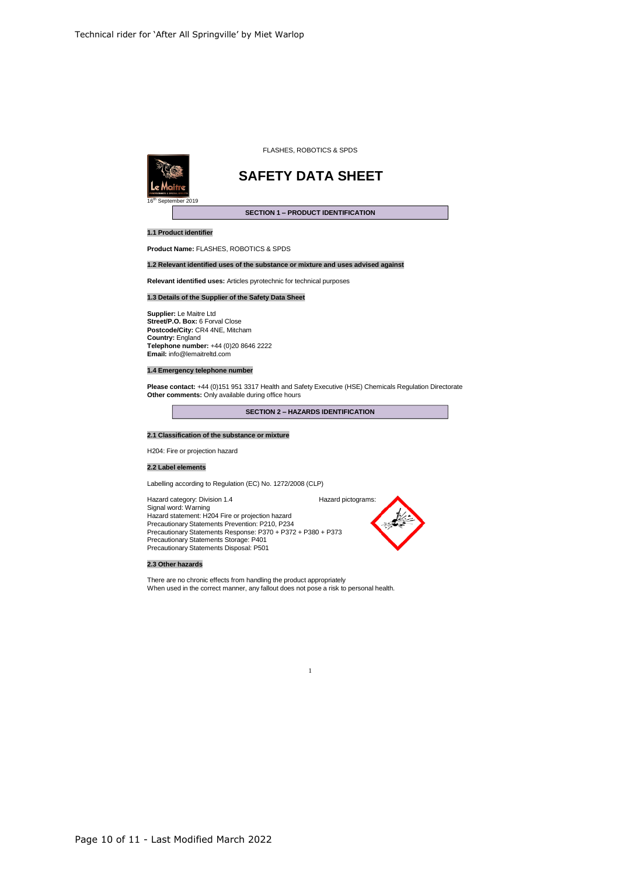

#### FLASHES, ROBOTICS & SPDS

# **SAFETY DATA SHEET**

### **SECTION 1 – PRODUCT IDENTIFICATION**

### **1.1 Product identifier**

**Product Name:** FLASHES, ROBOTICS & SPDS

### **1.2 Relevant identified uses of the substance or mixture and uses advised against**

**Relevant identified uses:** Articles pyrotechnic for technical purposes

### **1.3 Details of the Supplier of the Safety Data Sheet**

**Supplier:** Le Maitre Ltd **Street/P.O. Box:** 6 Forval Close **Postcode/City:** CR4 4NE, Mitcham **Country:** England **Telephone number:** +44 (0)20 8646 2222 **Email:** info@lemaitreltd.com

### **1.4 Emergency telephone number**

**Please contact:** +44 (0)151 951 3317 Health and Safety Executive (HSE) Chemicals Regulation Directorate **Other comments:** Only available during office hours

**SECTION 2 – HAZARDS IDENTIFICATION**

### **2.1 Classification of the substance or mixture**

H204: Fire or projection hazard

### **2.2 Label elements**

Labelling according to Regulation (EC) No. 1272/2008 (CLP)

Hazard category: Division 1.4 Hazard pictograms: Signal word: Warning Hazard statement: H204 Fire or projection hazard Precautionary Statements Prevention: P210, P234 Precautionary Statements Response: P370 <sup>+</sup> P372 <sup>+</sup> P380 <sup>+</sup> P373 Precautionary Statements Storage: P401 Precautionary Statements Disposal: P501



### **2.3 Other hazards**

There are no chronic effects from handling the product appropriately When used in the correct manner, any fallout does not pose <sup>a</sup> risk to personal health.

1